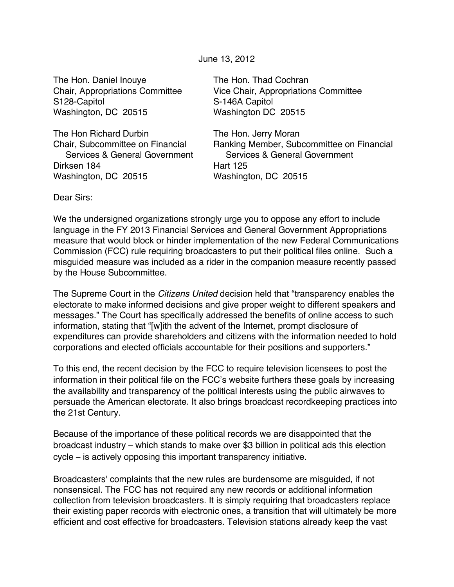June 13, 2012

The Hon. Daniel Inouye The Hon. Thad Cochran S128-Capitol S128-Capitol Washington, DC 20515 Washington DC 20515

The Hon Richard Durbin The Hon. Jerry Moran Dirksen 184 Hart 125 Washington, DC 20515 Washington, DC 20515

Chair, Appropriations Committee Vice Chair, Appropriations Committee

Chair, Subcommittee on Financial Ranking Member, Subcommittee on Financial Services & General Government Services & General Government

Dear Sirs:

We the undersigned organizations strongly urge you to oppose any effort to include language in the FY 2013 Financial Services and General Government Appropriations measure that would block or hinder implementation of the new Federal Communications Commission (FCC) rule requiring broadcasters to put their political files online. Such a misguided measure was included as a rider in the companion measure recently passed by the House Subcommittee.

The Supreme Court in the *Citizens United* decision held that "transparency enables the electorate to make informed decisions and give proper weight to different speakers and messages." The Court has specifically addressed the benefits of online access to such information, stating that "[w]ith the advent of the Internet, prompt disclosure of expenditures can provide shareholders and citizens with the information needed to hold corporations and elected officials accountable for their positions and supporters."

To this end, the recent decision by the FCC to require television licensees to post the information in their political file on the FCC's website furthers these goals by increasing the availability and transparency of the political interests using the public airwaves to persuade the American electorate. It also brings broadcast recordkeeping practices into the 21st Century.

Because of the importance of these political records we are disappointed that the broadcast industry – which stands to make over \$3 billion in political ads this election cycle – is actively opposing this important transparency initiative.

Broadcasters' complaints that the new rules are burdensome are misguided, if not nonsensical. The FCC has not required any new records or additional information collection from television broadcasters. It is simply requiring that broadcasters replace their existing paper records with electronic ones, a transition that will ultimately be more efficient and cost effective for broadcasters. Television stations already keep the vast